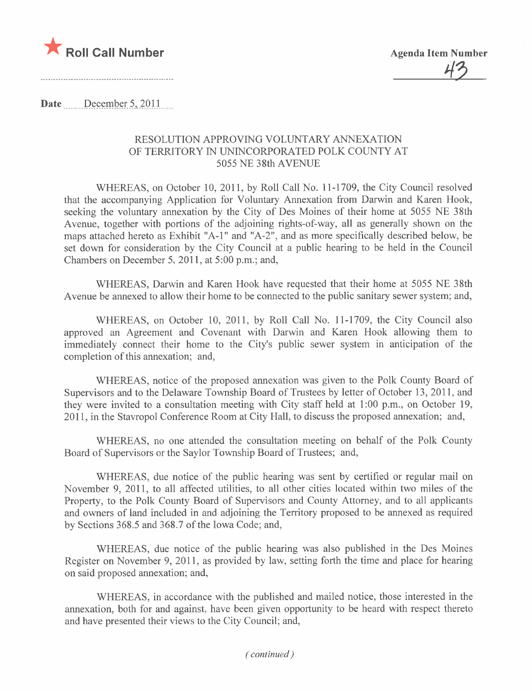

<u>43</u>

....................................

Date  $\qquad$  December 5, 2011

## RESOLUTION APPROVING VOLUNTARY ANNEXATION OF TERRITORY IN UNINCORPORATED POLK COUNTY AT 5055 NE 38th AVENUE

WHEREAS, on October 10,2011, by Roll Call No. 11-1709, the City Council resolved that the accompanying Application for Voluntary Annexation from Darwin and Karen Hook, seeking the voluntary annexation by the City of Des Moines of their home at 5055 NE 38th A venue, together with portions of the adjoining rights-of-way, all as generally shown on the maps attached hereto as Exhibit "A-I" and "A-2", and as more specifically described below, be set down for consideration by the City Council at a public hearing to be held in the Council Chambers on December 5, 2011, at 5:00 p.m.; and,

WHEREAS, Darwin and Karen Hook have requested that their home at 5055 NE 38th A venue be annexed to allow their home to be connected to the public sanitary sewer system; and,

WHEREAS, on October 10, 2011, by Roll Call No. 11-1709, the City Council also approved an Agreement and Covenant with Darwin and Karen Hook allowing them to immediately connect their home to the City's public sewer system in anticipation of the completion of this annexation; and,

WHEREAS, notice of the proposed annexation was given to the Polk County Board of Supervisors and to the Delaware Township Board of Trustees by letter of October 13, 2011, and they were invited to a consultation meeting with City staff held at 1:00 p.m., on October 19, 2011, in the Stavropol Conference Room at City Hall, to discuss the proposed annexation; and,

WHEREAS, no one attended the consultation meeting on behalf of the Polk County Board of Supervisors or the Saylor Township Board of Trustees; and,

WHEREAS, due notice of the public hearing was sent by certified or regular mail on November 9, 2011, to all affected utilities, to all other cities located within two miles of the Property, to the Polk County Board of Supervisors and County Attorney, and to all applicants and owners of land included in and adjoining the Territory proposed to be annexed as required by Sections 368.5 and 368.7 of the Iowa Code; and,

WHEREAS, due notice of the public hearing was also published in the Des Moines Register on November 9, 2011, as provided by law, setting forth the time and place for hearing on said proposed annexation; and,

WHEREAS, in accordance with the published and mailed notice, those interested in the annexation, both for and against, have been given opportunity to be heard with respect thereto and have presented their views to the City Council; and,

( continued)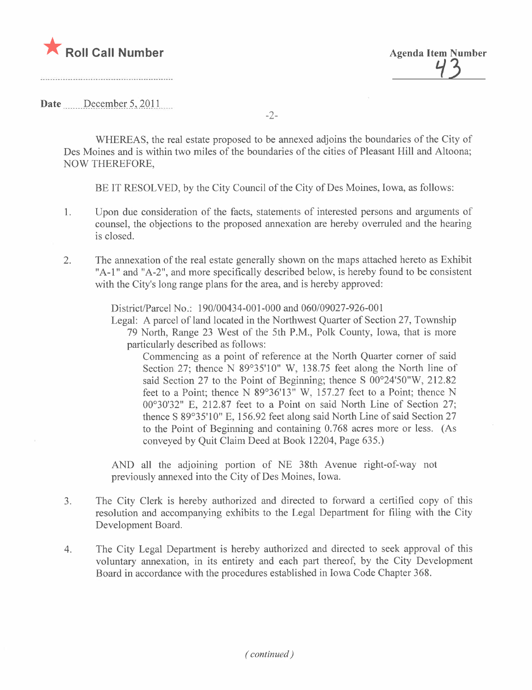

<u>7)</u>

Date  $\frac{\text{December 5, 2011}}{\text{December 5, 2011}}$ 

-2-

WHEREAS, the real estate proposed to be annexed adjoins the boundaries of the City of Des Moines and is within two miles of the boundaries of the cities of Pleasant Hill and Altoona; NOW THEREFORE,

BE IT RESOLVED, by the City Council of the City of Des Moines, Iowa, as follows:

- 1. Upon due consideration of the facts, statements of interested persons and arguments of counsel, the objections to the proposed annexation are hereby overruled and the hearing is closed.
- 2. The annexation of the real estate generally shown on the maps attached hereto as Exhibit "A-I" and "A-2", and more specifically described below, is hereby found to be consistent with the City's long range plans for the area, and is hereby approved:

District/Parcel No.: 190/00434-001-000 and 060/09027-926-001

Legal: A parcel of land located in the Northwest Quarter of Section 27, Township 79 North, Range 23 West of the 5th P.M., Polk County, Iowa, that is more particularly described as follows:

Commencing as a point of reference at the North Quarter corner of said Section 27; thence N 89°35'10" W, 138.75 feet along the North line of said Section 27 to the Point of Beginning; thence S  $00^{\circ}24'50''W$ , 212.82 feet to a Point; thence N 89°36'13" W, 157.27 feet to a Point; thence N 00°30'32" E, 212.87 feet to a Point on said North Line of Section 27; thence S 89°35'10" E, 156.92 feet along said North Line of said Section 27 to the Point of Beginning and containing 0.768 acres more or less. (As conveyed by Quit Claim Deed at Book 12204, Page 635.)

AND all the adjoining portion of NE 38th Avenue right-of-way not previously annexed into the City of Des Moines, Iowa.

- 3. The City Clerk is hereby authorized and directed to forward a certified copy of this resolution and accompanying exhibits to the Legal Department for filing with the City Development Board.
- 4. The City Legal Department is hereby authorized and directed to seek approval of this voluntary annexation, in its entirety and each part thereof, by the City Development Board in accordance with the procedures established in Iowa Code Chapter 368.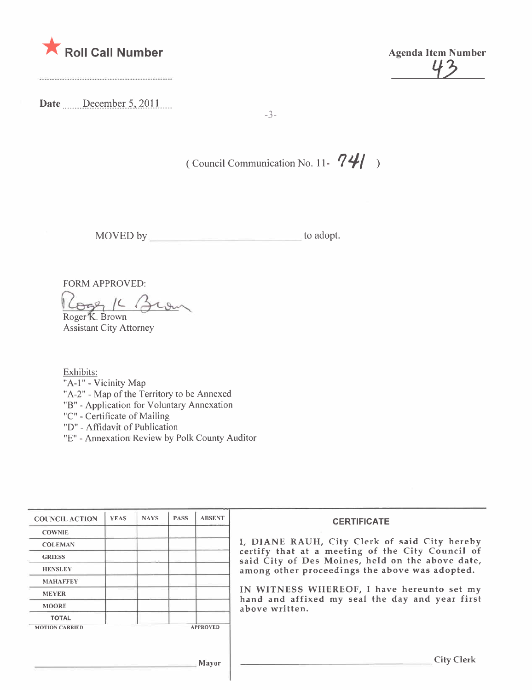

43

Date December 5, 2011

-3-

( Council Communication No. 11-  $74/$ )

MOVED by to adopt.

FORM APPROVED:<br>Roger 16 Ber Roger K. Brown

Assistant City Attorney

Exhibits: "A-1" - Vicinity Map "A-2" - Map of the Territory to be Annexed "B" - Application for Voluntary Annexation "C" - Certificate of Mailing "D" - Affidavit of Publication

"E" - Annexation Review by Polk County Auditor

| <b>COUNCIL ACTION</b> | <b>YEAS</b> | <b>NAYS</b> | <b>PASS</b> | <b>ABSENT</b>   | <b>CERTIFICATE</b>                                                                                                                                                                                      |  |  |
|-----------------------|-------------|-------------|-------------|-----------------|---------------------------------------------------------------------------------------------------------------------------------------------------------------------------------------------------------|--|--|
| <b>COWNIE</b>         |             |             |             |                 |                                                                                                                                                                                                         |  |  |
| <b>COLEMAN</b>        |             |             |             |                 | I, DIANE RAUH, City Clerk of said City hereby<br>certify that at a meeting of the City Council of<br>said City of Des Moines, held on the above date,<br>among other proceedings the above was adopted. |  |  |
| <b>GRIESS</b>         |             |             |             |                 |                                                                                                                                                                                                         |  |  |
| <b>HENSLEY</b>        |             |             |             |                 |                                                                                                                                                                                                         |  |  |
| <b>MAHAFFEY</b>       |             |             |             |                 |                                                                                                                                                                                                         |  |  |
| <b>MEYER</b>          |             |             |             |                 | IN WITNESS WHEREOF, I have hereunto set my<br>hand and affixed my seal the day and year first                                                                                                           |  |  |
| <b>MOORE</b>          |             |             |             |                 | above written.                                                                                                                                                                                          |  |  |
| <b>TOTAL</b>          |             |             |             |                 |                                                                                                                                                                                                         |  |  |
| <b>MOTION CARRIED</b> |             |             |             | <b>APPROVED</b> |                                                                                                                                                                                                         |  |  |
|                       |             |             |             | Mayor           | <b>City Clerk</b>                                                                                                                                                                                       |  |  |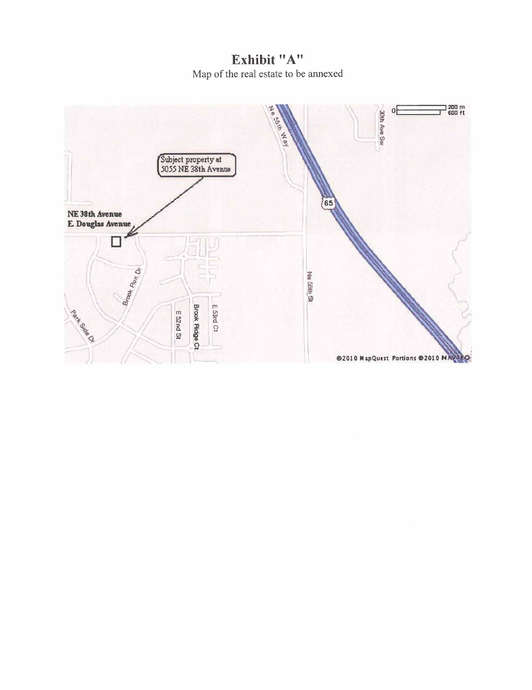Exhibit "A" Map of the real estate to be annexed

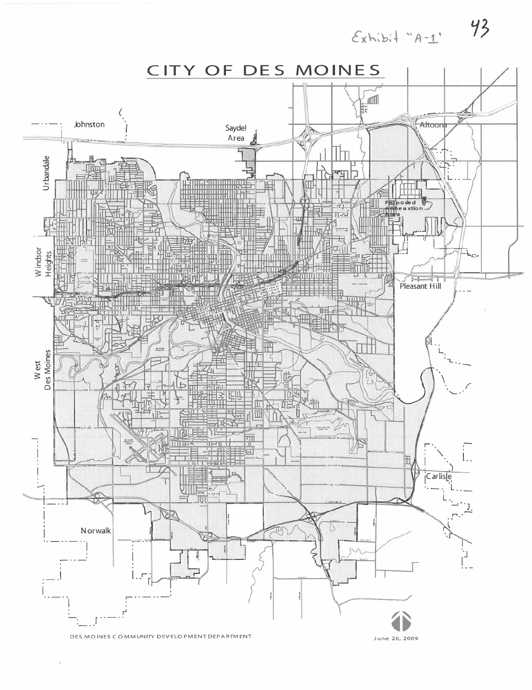$E$ xhibit "A-1"



43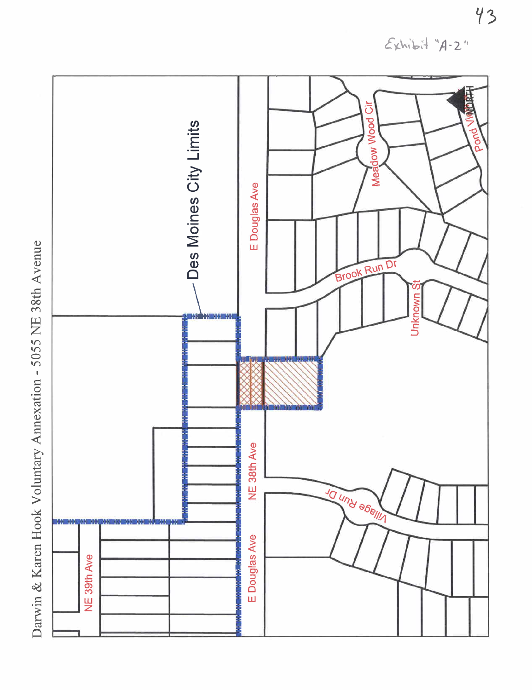**HETCAN** öĭ Meadow Wood Des Moines City Limits pond E Douglas Ave Brook Run Dr U Unknown 1152 120 120 121 NE 38th Ave TO UNITY SOBILITY MA 50 66 56 56 E Douglas Ave NE 39th Ave

Darwin & Karen Hook Voluntary Annexation - 5055 NE 38th Avenue

 $Exhib.4.4.24$ 

43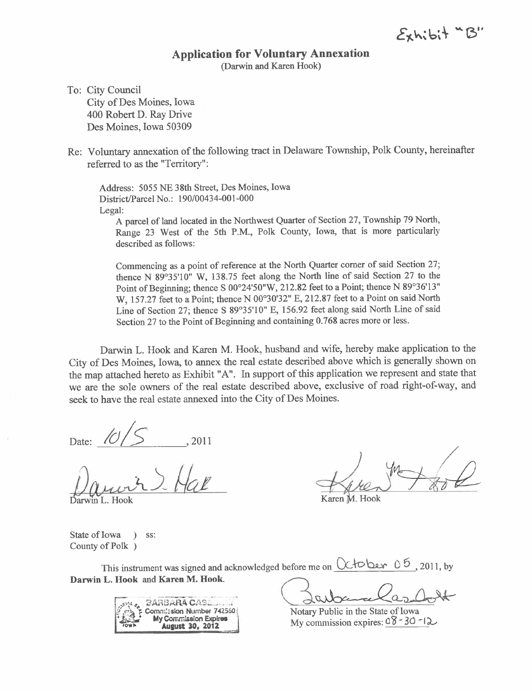$E_{x}$ h; $bit$  " $B''$ 

## Application for Voluntary Annexation

(Darwin and Karen Hook)

To: City Council City of Des Moines, Iowa 400 Robert D. Ray Drive Des Moines, Iowa 50309

Re: Voluntary annexation of the following tract in Delaware Township, Polk County, hereinafter referred to as the "Terrtory":

Address: 5055 NE 38th Street, Des Moines, Iowa District/Parcel No.: 190/00434-001-000 Legal:

A parcel of land located in the Northwest Quarter of Section 27, Township 79 North, Range 23 West of the 5th P.M., Polk County, Iowa, that is more particularly described as follows:

Commencing as a point of reference at the North Quarter corner of said Section 27; thence N 89°35'10" W, 138.75 feet along the North line of said Section 27 to the Point of Beginning; thence S 00°24'50"W, 212.82 feet to a Point; thence N 89°36'13" W, 157.27 feet to a Point; thence N 00°30'32" E, 212.87 feet to a Point on said North Line of Section 27; thence S 89°35'10" E, 156.92 feet along said North Line of said Section 27 to the Point of Begining and containing 0.768 acres more or less.

Darwin L. Hook and Karen M. Hook, husband and wife, hereby make application to the City of Des Moines, Iowa, to anex the real estate described above which is generally shown on the map attached hereto as Exhibit "A". In support of this application we represent and state that we are the sole owners of the real estate described above, exclusive of road right-of-way, and seek to have the real estate anexed into the City of Des Moines.

Darwir S. Hal

in L. Hook

Date:  $10/5$ , 2011<br>Date: 1 > Hall Gren Took

Karen M. Hook

State of Iowa ) ss: County of Polk )

This instrment was signed and acknowledged before me on ex -t b. 0 6 , 2011, by - - ---'\_.~---- -, -~. .... ~\_d.~(L~ Darwin L. Hook and Karen M. Hook.



Notary Public in the State of Iowa My commission expires:  $08 - 30 - 12$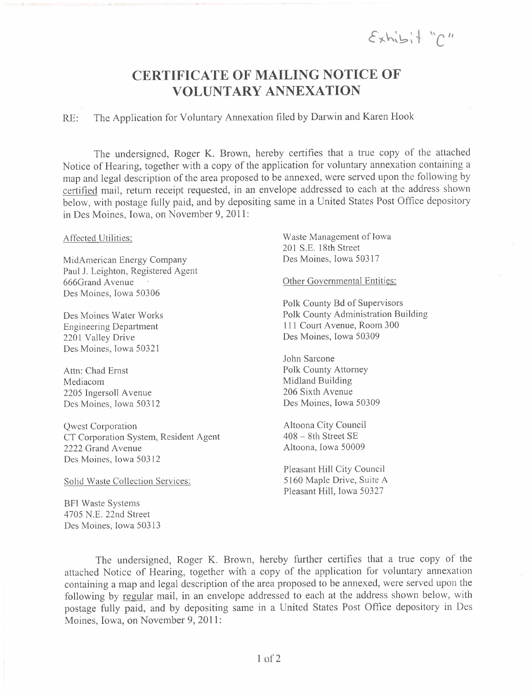$\mathcal{E}_{x}$ hi $\vdash$  " $\cap$ "

# CERTIFICATE OF MAILING NOTICE OF VOLUNTARY ANNEXATION

RE: The Application for Voluntary Annexation filed by Darwin and Karen Hook

The undersigned, Roger K. Brown, hereby certifies that a true copy of the attached Notice of Hearing, together with a copy of the application for voluntary annexation containing a map and legal description of the area proposed to be annexed, were served upon the following by certified mail, return receipt requested, in an envelope addressed to each at the address shown below, with postage fully paid, and by depositing same in a United States Post Office depository in Des Moines, Iowa, on November 9, 2011:

MidAmerican Energy Company Des Moines, Iowa 50317 Paul J. Leighton, Registered Agent 666Grand A venue Des Moines, Iowa 50306

Des Moines Water Works Engineering Department 2201 Valley Drive Des Moines, Iowa 50321

Attn: Chad Ernst Mediacom 2205 Ingersoll Avenue Des Moines, Iowa 50312

Qwest Corporation CT Corporation System, Resident Agent 2222 Grand Avenue Des Moines, Iowa 503 12

Solid Waste Collection Services:

BFI Waste Systems 4705 N.E. 22nd Street Des Moines, Iowa 50313

Affected Utilities: Waste Management of Iowa 201 S.E. 18th Street

Other Govemmental Entities:

Polk County Bd of Supervisors Polk County Administration Building 111 Court Avenue, Room 300 Des Moines, Iowa 50309

John Sarcone Polk County Attomey Midland Building 206 Sixth Avenue Des Moines, Iowa 50309

Altoona City Council  $408 - 8$ th Street SE Altoona, Iowa 50009

Pleasant Hill City Council 5160 Maple Drive, Suite A Pleasant Hill, Iowa 50327

The undersigned, Roger K. Brown, hereby further certifies that a true copy of the attached Notice of Hearing, together with a copy of the application for voluntary annexation containing a map and legal description of the area proposed to be annexed, were served upon the following by regular mail, in an envelope addressed to each at the address shown below, with postage fully paid, and by depositing same in a United States Post Office depository in Des Moines, Iowa, on November 9, 201l: